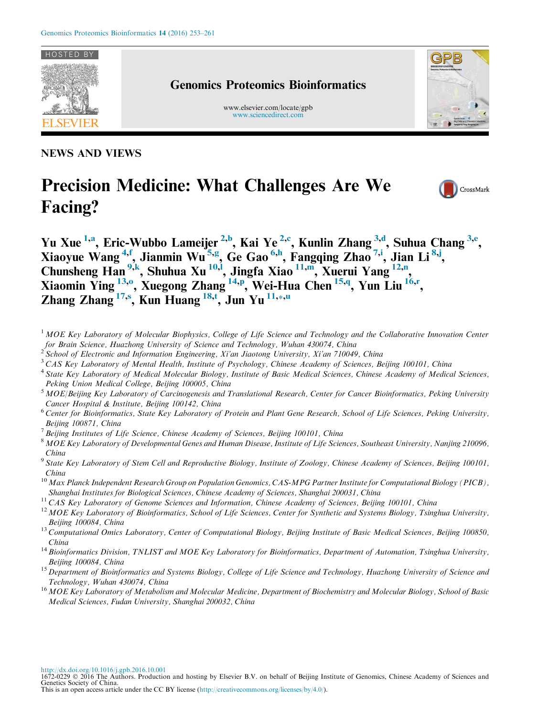

# Genomics Proteomics Bioinformatics

www.elsevier.com/locate/gpb [www.sciencedirect.com](http://www.sciencedirect.com)



## NEWS AND VIEWS

# Precision Medicine: What Challenges Are We Facing?



Yu Xue<sup>1,a</sup>, Eric-Wubbo Lameijer<sup>2,b</sup>, Kai Ye<sup>2,c</sup>, Kunlin Zhang<sup>3,d</sup>, Suhua Chang<sup>3,e</sup>, Xiaoyue Wang<sup>4,f</sup>, Jianmin Wu<sup>5,g</sup>, Ge Gao<sup>6,h</sup>, Fangqing Zhao<sup>7,i</sup>, Jian Li<sup>8,j</sup>, Chunsheng Han<sup>9,k</sup>, Shuhua Xu<sup>10,1</sup>, Jingfa Xiao<sup>11,m</sup>, Xuerui Yang<sup>12,n</sup>, Xiaomin Ying <sup>13,0</sup>, Xuegong Zhang <sup>14,p</sup>, Wei-Hua Chen <sup>15,q</sup>, Yun Liu <sup>16,r</sup>, Zhang Zhang  $^{17,s}$  $^{17,s}$  $^{17,s}$ , Kun Huang  $^{18,t}$  $^{18,t}$  $^{18,t}$ , Jun Yu  $^{11,s,u}$ 

- $1$  MOE Key Laboratory of Molecular Biophysics, College of Life Science and Technology and the Collaborative Innovation Center for Brain Science, Huazhong University of Science and Technology, Wuhan 430074, China
- <sup>2</sup> School of Electronic and Information Engineering, Xi'an Jiaotong University, Xi'an 710049, China
- <sup>3</sup> CAS Key Laboratory of Mental Health, Institute of Psychology, Chinese Academy of Sciences, Beijing 100101, China
- <sup>4</sup> State Key Laboratory of Medical Molecular Biology, Institute of Basic Medical Sciences, Chinese Academy of Medical Sciences, Peking Union Medical College, Beijing 100005, China
- $5$  MOE/Beijing Key Laboratory of Carcinogenesis and Translational Research, Center for Cancer Bioinformatics, Peking University Cancer Hospital & Institute, Beijing 100142, China
- <sup>6</sup> Center for Bioinformatics, State Key Laboratory of Protein and Plant Gene Research, School of Life Sciences, Peking University, Beijing 100871, China
- $^{7}$  Beijing Institutes of Life Science, Chinese Academy of Sciences, Beijing 100101, China
- $8$  MOE Key Laboratory of Developmental Genes and Human Disease, Institute of Life Sciences, Southeast University, Nanjing 210096, China
- <sup>9</sup> State Key Laboratory of Stem Cell and Reproductive Biology, Institute of Zoology, Chinese Academy of Sciences, Beijing 100101, China
- $^{10}$  Max Planck Independent Research Group on Population Genomics, CAS-MPG Partner Institute for Computational Biology (PICB), Shanghai Institutes for Biological Sciences, Chinese Academy of Sciences, Shanghai 200031, China<br><sup>11</sup> CAS Key Laboratory of Genome Sciences and Information, Chinese Academy of Sciences, Beijing 100101, China<br><sup>12</sup> MOE Key L
- 
- 
- Beijing 100084, China<br><sup>13</sup> Computational Omics Laboratory, Center of Computational Biology, Beijing Institute of Basic Medical Sciences, Beijing 100850,
- China<br><sup>14</sup> Bioinformatics Division, TNLIST and MOE Key Laboratory for Bioinformatics, Department of Automation, Tsinghua University,
- Beijing 100084, China<br><sup>15</sup> Department of Bioinformatics and Systems Biology, College of Life Science and Technology, Huazhong University of Science and Technology, Wuhan 430074, China<br><sup>16</sup> MOE Key Laboratory of Metabolism and Molecular Medicine, Department of Biochemistry and Molecular Biology, School of Basic
- Medical Sciences, Fudan University, Shanghai 200032, China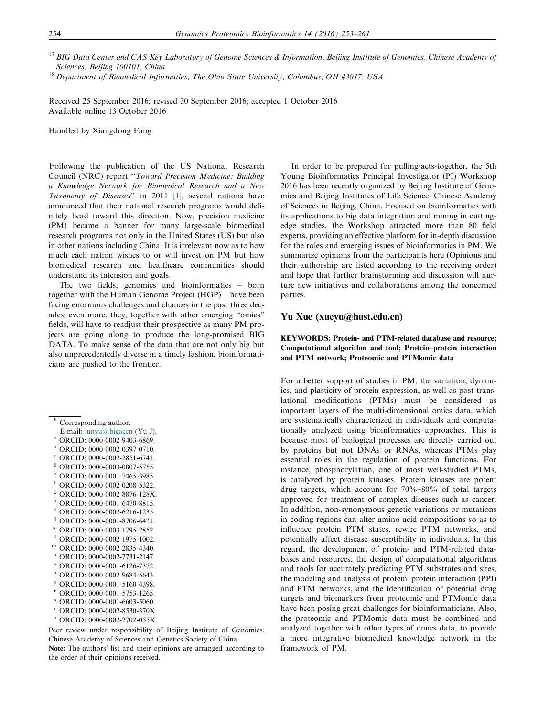<span id="page-1-0"></span> $17$  BIG Data Center and CAS Key Laboratory of Genome Sciences & Information, Beijing Institute of Genomics, Chinese Academy of Sciences, Beijing 100101, China<br><sup>18</sup> Department of Biomedical Informatics, The Ohio State University, Columbus, OH 43017, USA

Received 25 September 2016; revised 30 September 2016; accepted 1 October 2016 Available online 13 October 2016

Handled by Xiangdong Fang

Following the publication of the US National Research Council (NRC) report ''Toward Precision Medicine: Building a Knowledge Network for Biomedical Research and a New Taxonomy of Diseases" in 2011 [\[1\]](#page-7-0), several nations have announced that their national research programs would definitely head toward this direction. Now, precision medicine (PM) became a banner for many large-scale biomedical research programs not only in the United States (US) but also in other nations including China. It is irrelevant now as to how much each nation wishes to or will invest on PM but how biomedical research and healthcare communities should understand its intension and goals.

The two fields, genomics and bioinformatics – born together with the Human Genome Project (HGP) – have been facing enormous challenges and chances in the past three decades; even more, they, together with other emerging ''omics" fields, will have to readjust their prospective as many PM projects are going along to produce the long-promised BIG DATA. To make sense of the data that are not only big but also unprecedentedly diverse in a timely fashion, bioinformaticians are pushed to the frontier.

Corresponding author.

- E-mail: [junyu@bigaccn](mailto:junyu@big.ac.cn) (Yu J).
- <sup>a</sup> ORCID: 0000-0002-9403-6869.
- <sup>b</sup> ORCID: 0000-0002-0397-0710.
- <sup>c</sup> ORCID: 0000-0002-2851-6741.
- <sup>d</sup> ORCID: 0000-0003-0807-5755.
- <sup>e</sup> ORCID: 0000-0001-7465-3985.
- <sup>f</sup> ORCID: 0000-0002-0208-5322.
- <sup>g</sup> ORCID: 0000-0002-8876-128X.
- <sup>h</sup> ORCID: 0000-0001-6470-8815.
- <sup>i</sup> ORCID: 0000-0002-6216-1235.
- <sup>j</sup> ORCID: 0000-0001-8706-6421.
- <sup>k</sup> ORCID: 0000-0003-1795-2852.
- <sup>l</sup> ORCID: 0000-0002-1975-1002.
- <sup>m</sup> ORCID: 0000-0002-2835-4340.
- <sup>n</sup> ORCID: 0000-0002-7731-2147.
- <sup>o</sup> ORCID: 0000-0001-6126-7372.
- <sup>p</sup> ORCID: 0000-0002-9684-5643.
- <sup>q</sup> ORCID: 0000-0001-5160-4398.
- <sup>r</sup> ORCID: 0000-0001-5753-1265.
- <sup>s</sup> ORCID: 0000-0001-6603-5060.
- <sup>t</sup> ORCID: 0000-0002-8530-370X
- <sup>u</sup> ORCID: 0000-0002-2702-055X.

Peer review under responsibility of Beijing Institute of Genomics, Chinese Academy of Sciences and Genetics Society of China. Note: The authors' list and their opinions are arranged according to the order of their opinions received.

In order to be prepared for pulling-acts-together, the 5th Young Bioinformatics Principal Investigator (PI) Workshop 2016 has been recently organized by Beijing Institute of Genomics and Beijing Institutes of Life Science, Chinese Academy of Sciences in Beijing, China. Focused on bioinformatics with its applications to big data integration and mining in cuttingedge studies, the Workshop attracted more than 80 field experts, providing an effective platform for in-depth discussion for the roles and emerging issues of bioinformatics in PM. We summarize opinions from the participants here (Opinions and their authorship are listed according to the receiving order) and hope that further brainstorming and discussion will nurture new initiatives and collaborations among the concerned parties.

#### Yu Xue (xueyu@hust.edu.cn)

#### KEYWORDS: Protein- and PTM-related database and resource; Computational algorithm and tool; Protein–protein interaction and PTM network; Proteomic and PTMomic data

For a better support of studies in PM, the variation, dynamics, and plasticity of protein expression, as well as post-translational modifications (PTMs) must be considered as important layers of the multi-dimensional omics data, which are systematically characterized in individuals and computationally analyzed using bioinformatics approaches. This is because most of biological processes are directly carried out by proteins but not DNAs or RNAs, whereas PTMs play essential roles in the regulation of protein functions. For instance, phosphorylation, one of most well-studied PTMs, is catalyzed by protein kinases. Protein kinases are potent drug targets, which account for  $70\% - 80\%$  of total targets approved for treatment of complex diseases such as cancer. In addition, non-synonymous genetic variations or mutations in coding regions can alter amino acid compositions so as to influence protein PTM states, rewire PTM networks, and potentially affect disease susceptibility in individuals. In this regard, the development of protein- and PTM-related databases and resources, the design of computational algorithms and tools for accurately predicting PTM substrates and sites, the modeling and analysis of protein–protein interaction (PPI) and PTM networks, and the identification of potential drug targets and biomarkers from proteomic and PTMomic data have been posing great challenges for bioinformaticians. Also, the proteomic and PTMomic data must be combined and analyzed together with other types of omics data, to provide a more integrative biomedical knowledge network in the framework of PM.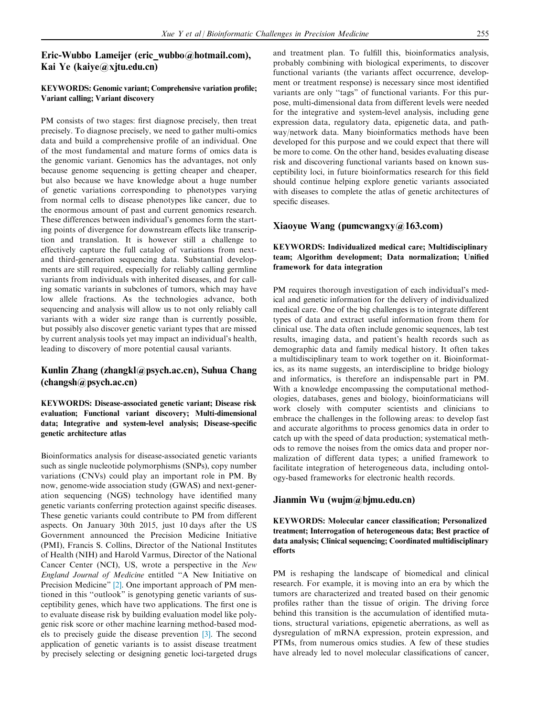## Eric-Wubbo Lameijer (eric\_wubbo@hotmail.com), Kai Ye (kaiye@xjtu.edu.cn)

#### KEYWORDS: Genomic variant; Comprehensive variation profile; Variant calling; Variant discovery

PM consists of two stages: first diagnose precisely, then treat precisely. To diagnose precisely, we need to gather multi-omics data and build a comprehensive profile of an individual. One of the most fundamental and mature forms of omics data is the genomic variant. Genomics has the advantages, not only because genome sequencing is getting cheaper and cheaper, but also because we have knowledge about a huge number of genetic variations corresponding to phenotypes varying from normal cells to disease phenotypes like cancer, due to the enormous amount of past and current genomics research. These differences between individual's genomes form the starting points of divergence for downstream effects like transcription and translation. It is however still a challenge to effectively capture the full catalog of variations from nextand third-generation sequencing data. Substantial developments are still required, especially for reliably calling germline variants from individuals with inherited diseases, and for calling somatic variants in subclones of tumors, which may have low allele fractions. As the technologies advance, both sequencing and analysis will allow us to not only reliably call variants with a wider size range than is currently possible, but possibly also discover genetic variant types that are missed by current analysis tools yet may impact an individual's health, leading to discovery of more potential causal variants.

## Kunlin Zhang (zhangkl@psych.ac.cn), Suhua Chang  $(chargsh@psvch.ac.cn)$

KEYWORDS: Disease-associated genetic variant; Disease risk evaluation; Functional variant discovery; Multi-dimensional data; Integrative and system-level analysis; Disease-specific genetic architecture atlas

Bioinformatics analysis for disease-associated genetic variants such as single nucleotide polymorphisms (SNPs), copy number variations (CNVs) could play an important role in PM. By now, genome-wide association study (GWAS) and next-generation sequencing (NGS) technology have identified many genetic variants conferring protection against specific diseases. These genetic variants could contribute to PM from different aspects. On January 30th 2015, just 10 days after the US Government announced the Precision Medicine Initiative (PMI), Francis S. Collins, Director of the National Institutes of Health (NIH) and Harold Varmus, Director of the National Cancer Center (NCI), US, wrote a perspective in the New England Journal of Medicine entitled ''A New Initiative on Precision Medicine" [\[2\].](#page-8-0) One important approach of PM mentioned in this ''outlook" is genotyping genetic variants of susceptibility genes, which have two applications. The first one is to evaluate disease risk by building evaluation model like polygenic risk score or other machine learning method-based models to precisely guide the disease prevention [\[3\]](#page-8-0). The second application of genetic variants is to assist disease treatment by precisely selecting or designing genetic loci-targeted drugs and treatment plan. To fulfill this, bioinformatics analysis, probably combining with biological experiments, to discover functional variants (the variants affect occurrence, development or treatment response) is necessary since most identified variants are only ''tags" of functional variants. For this purpose, multi-dimensional data from different levels were needed for the integrative and system-level analysis, including gene expression data, regulatory data, epigenetic data, and pathway/network data. Many bioinformatics methods have been developed for this purpose and we could expect that there will be more to come. On the other hand, besides evaluating disease risk and discovering functional variants based on known susceptibility loci, in future bioinformatics research for this field should continue helping explore genetic variants associated with diseases to complete the atlas of genetic architectures of specific diseases.

#### Xiaoyue Wang (pumcwangxy@163.com)

#### KEYWORDS: Individualized medical care; Multidisciplinary team; Algorithm development; Data normalization; Unified framework for data integration

PM requires thorough investigation of each individual's medical and genetic information for the delivery of individualized medical care. One of the big challenges is to integrate different types of data and extract useful information from them for clinical use. The data often include genomic sequences, lab test results, imaging data, and patient's health records such as demographic data and family medical history. It often takes a multidisciplinary team to work together on it. Bioinformatics, as its name suggests, an interdiscipline to bridge biology and informatics, is therefore an indispensable part in PM. With a knowledge encompassing the computational methodologies, databases, genes and biology, bioinformaticians will work closely with computer scientists and clinicians to embrace the challenges in the following areas: to develop fast and accurate algorithms to process genomics data in order to catch up with the speed of data production; systematical methods to remove the noises from the omics data and proper normalization of different data types; a unified framework to facilitate integration of heterogeneous data, including ontology-based frameworks for electronic health records.

## Jianmin Wu (wujm@bjmu.edu.cn)

## KEYWORDS: Molecular cancer classification; Personalized treatment; Interrogation of heterogeneous data; Best practice of data analysis; Clinical sequencing; Coordinated multidisciplinary efforts

PM is reshaping the landscape of biomedical and clinical research. For example, it is moving into an era by which the tumors are characterized and treated based on their genomic profiles rather than the tissue of origin. The driving force behind this transition is the accumulation of identified mutations, structural variations, epigenetic aberrations, as well as dysregulation of mRNA expression, protein expression, and PTMs, from numerous omics studies. A few of these studies have already led to novel molecular classifications of cancer,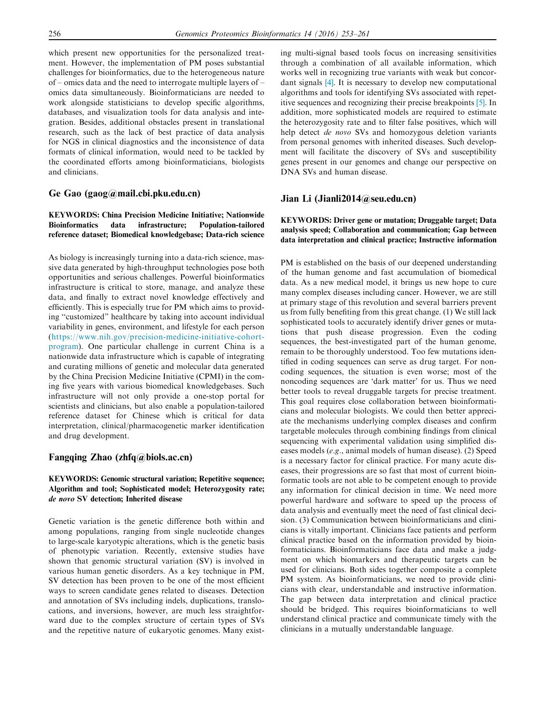which present new opportunities for the personalized treatment. However, the implementation of PM poses substantial challenges for bioinformatics, due to the heterogeneous nature of – omics data and the need to interrogate multiple layers of – omics data simultaneously. Bioinformaticians are needed to work alongside statisticians to develop specific algorithms, databases, and visualization tools for data analysis and integration. Besides, additional obstacles present in translational research, such as the lack of best practice of data analysis for NGS in clinical diagnostics and the inconsistence of data formats of clinical information, would need to be tackled by the coordinated efforts among bioinformaticians, biologists and clinicians.

## Ge Gao (gaog@mail.cbi.pku.edu.cn)

#### KEYWORDS: China Precision Medicine Initiative; Nationwide Bioinformatics data infrastructure; Population-tailored reference dataset; Biomedical knowledgebase; Data-rich science

As biology is increasingly turning into a data-rich science, massive data generated by high-throughput technologies pose both opportunities and serious challenges. Powerful bioinformatics infrastructure is critical to store, manage, and analyze these data, and finally to extract novel knowledge effectively and efficiently. This is especially true for PM which aims to providing ''customized" healthcare by taking into account individual variability in genes, environment, and lifestyle for each person ([https://www.nih.gov/precision-medicine-initiative-cohort](https://www.nih.gov/precision-medicine-initiative-cohort-program)[program\)](https://www.nih.gov/precision-medicine-initiative-cohort-program). One particular challenge in current China is a nationwide data infrastructure which is capable of integrating and curating millions of genetic and molecular data generated by the China Precision Medicine Initiative (CPMI) in the coming five years with various biomedical knowledgebases. Such infrastructure will not only provide a one-stop portal for scientists and clinicians, but also enable a population-tailored reference dataset for Chinese which is critical for data interpretation, clinical/pharmacogenetic marker identification and drug development.

#### Fangqing Zhao (zhfq@biols.ac.cn)

#### KEYWORDS: Genomic structural variation; Repetitive sequence; Algorithm and tool; Sophisticated model; Heterozygosity rate; de novo SV detection; Inherited disease

Genetic variation is the genetic difference both within and among populations, ranging from single nucleotide changes to large-scale karyotypic alterations, which is the genetic basis of phenotypic variation. Recently, extensive studies have shown that genomic structural variation (SV) is involved in various human genetic disorders. As a key technique in PM, SV detection has been proven to be one of the most efficient ways to screen candidate genes related to diseases. Detection and annotation of SVs including indels, duplications, translocations, and inversions, however, are much less straightforward due to the complex structure of certain types of SVs and the repetitive nature of eukaryotic genomes. Many existing multi-signal based tools focus on increasing sensitivities through a combination of all available information, which works well in recognizing true variants with weak but concordant signals [\[4\]](#page-8-0). It is necessary to develop new computational algorithms and tools for identifying SVs associated with repetitive sequences and recognizing their precise breakpoints [\[5\].](#page-8-0) In addition, more sophisticated models are required to estimate the heterozygosity rate and to filter false positives, which will help detect de novo SVs and homozygous deletion variants from personal genomes with inherited diseases. Such development will facilitate the discovery of SVs and susceptibility genes present in our genomes and change our perspective on DNA SVs and human disease.

#### Jian Li (Jianli2014@seu.edu.cn)

#### KEYWORDS: Driver gene or mutation; Druggable target; Data analysis speed; Collaboration and communication; Gap between data interpretation and clinical practice; Instructive information

PM is established on the basis of our deepened understanding of the human genome and fast accumulation of biomedical data. As a new medical model, it brings us new hope to cure many complex diseases including cancer. However, we are still at primary stage of this revolution and several barriers prevent us from fully benefiting from this great change. (1) We still lack sophisticated tools to accurately identify driver genes or mutations that push disease progression. Even the coding sequences, the best-investigated part of the human genome, remain to be thoroughly understood. Too few mutations identified in coding sequences can serve as drug target. For noncoding sequences, the situation is even worse; most of the noncoding sequences are 'dark matter' for us. Thus we need better tools to reveal druggable targets for precise treatment. This goal requires close collaboration between bioinformaticians and molecular biologists. We could then better appreciate the mechanisms underlying complex diseases and confirm targetable molecules through combining findings from clinical sequencing with experimental validation using simplified diseases models (e.g., animal models of human disease). (2) Speed is a necessary factor for clinical practice. For many acute diseases, their progressions are so fast that most of current bioinformatic tools are not able to be competent enough to provide any information for clinical decision in time. We need more powerful hardware and software to speed up the process of data analysis and eventually meet the need of fast clinical decision. (3) Communication between bioinformaticians and clinicians is vitally important. Clinicians face patients and perform clinical practice based on the information provided by bioinformaticians. Bioinformaticians face data and make a judgment on which biomarkers and therapeutic targets can be used for clinicians. Both sides together composite a complete PM system. As bioinformaticians, we need to provide clinicians with clear, understandable and instructive information. The gap between data interpretation and clinical practice should be bridged. This requires bioinformaticians to well understand clinical practice and communicate timely with the clinicians in a mutually understandable language.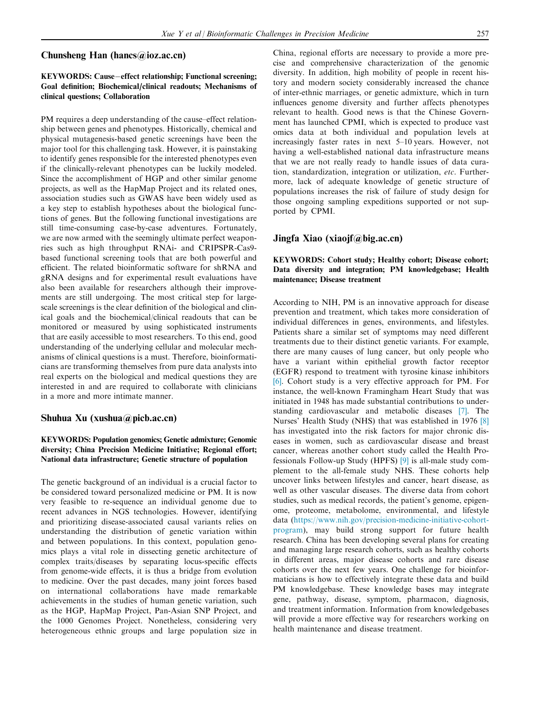#### Chunsheng Han  $(hanes@ioz.ac.cn)$

## KEYWORDS: Cause-effect relationship; Functional screening; Goal definition; Biochemical/clinical readouts; Mechanisms of clinical questions; Collaboration

PM requires a deep understanding of the cause–effect relationship between genes and phenotypes. Historically, chemical and physical mutagenesis-based genetic screenings have been the major tool for this challenging task. However, it is painstaking to identify genes responsible for the interested phenotypes even if the clinically-relevant phenotypes can be luckily modeled. Since the accomplishment of HGP and other similar genome projects, as well as the HapMap Project and its related ones, association studies such as GWAS have been widely used as a key step to establish hypotheses about the biological functions of genes. But the following functional investigations are still time-consuming case-by-case adventures. Fortunately, we are now armed with the seemingly ultimate perfect weaponries such as high throughput RNAi- and CRIPSPR-Cas9 based functional screening tools that are both powerful and efficient. The related bioinformatic software for shRNA and gRNA designs and for experimental result evaluations have also been available for researchers although their improvements are still undergoing. The most critical step for largescale screenings is the clear definition of the biological and clinical goals and the biochemical/clinical readouts that can be monitored or measured by using sophisticated instruments that are easily accessible to most researchers. To this end, good understanding of the underlying cellular and molecular mechanisms of clinical questions is a must. Therefore, bioinformaticians are transforming themselves from pure data analysts into real experts on the biological and medical questions they are interested in and are required to collaborate with clinicians in a more and more intimate manner.

#### Shuhua Xu (xushua@picb.ac.cn)

#### KEYWORDS: Population genomics; Genetic admixture; Genomic diversity; China Precision Medicine Initiative; Regional effort; National data infrastructure; Genetic structure of population

The genetic background of an individual is a crucial factor to be considered toward personalized medicine or PM. It is now very feasible to re-sequence an individual genome due to recent advances in NGS technologies. However, identifying and prioritizing disease-associated causal variants relies on understanding the distribution of genetic variation within and between populations. In this context, population genomics plays a vital role in dissecting genetic architecture of complex traits/diseases by separating locus-specific effects from genome-wide effects, it is thus a bridge from evolution to medicine. Over the past decades, many joint forces based on international collaborations have made remarkable achievements in the studies of human genetic variation, such as the HGP, HapMap Project, Pan-Asian SNP Project, and the 1000 Genomes Project. Nonetheless, considering very heterogeneous ethnic groups and large population size in China, regional efforts are necessary to provide a more precise and comprehensive characterization of the genomic diversity. In addition, high mobility of people in recent history and modern society considerably increased the chance of inter-ethnic marriages, or genetic admixture, which in turn influences genome diversity and further affects phenotypes relevant to health. Good news is that the Chinese Government has launched CPMI, which is expected to produce vast omics data at both individual and population levels at increasingly faster rates in next 5–10 years. However, not having a well-established national data infrastructure means that we are not really ready to handle issues of data curation, standardization, integration or utilization, etc. Furthermore, lack of adequate knowledge of genetic structure of populations increases the risk of failure of study design for those ongoing sampling expeditions supported or not supported by CPMI.

#### Jingfa Xiao (xiaojf@big.ac.cn)

#### KEYWORDS: Cohort study; Healthy cohort; Disease cohort; Data diversity and integration; PM knowledgebase; Health maintenance; Disease treatment

According to NIH, PM is an innovative approach for disease prevention and treatment, which takes more consideration of individual differences in genes, environments, and lifestyles. Patients share a similar set of symptoms may need different treatments due to their distinct genetic variants. For example, there are many causes of lung cancer, but only people who have a variant within epithelial growth factor receptor (EGFR) respond to treatment with tyrosine kinase inhibitors [\[6\].](#page-8-0) Cohort study is a very effective approach for PM. For instance, the well-known Framingham Heart Study that was initiated in 1948 has made substantial contributions to understanding cardiovascular and metabolic diseases [\[7\]](#page-8-0). The Nurses' Health Study (NHS) that was established in 1976 [\[8\]](#page-8-0) has investigated into the risk factors for major chronic diseases in women, such as cardiovascular disease and breast cancer, whereas another cohort study called the Health Professionals Follow-up Study (HPFS) [\[9\]](#page-8-0) is all-male study complement to the all-female study NHS. These cohorts help uncover links between lifestyles and cancer, heart disease, as well as other vascular diseases. The diverse data from cohort studies, such as medical records, the patient's genome, epigenome, proteome, metabolome, environmental, and lifestyle data [\(https://www.nih.gov/precision-medicine-initiative-cohort](https://www.nih.gov/precision-medicine-initiative-cohort-program)[program\)](https://www.nih.gov/precision-medicine-initiative-cohort-program), may build strong support for future health research. China has been developing several plans for creating and managing large research cohorts, such as healthy cohorts in different areas, major disease cohorts and rare disease cohorts over the next few years. One challenge for bioinformaticians is how to effectively integrate these data and build PM knowledgebase. These knowledge bases may integrate gene, pathway, disease, symptom, pharmacon, diagnosis, and treatment information. Information from knowledgebases will provide a more effective way for researchers working on health maintenance and disease treatment.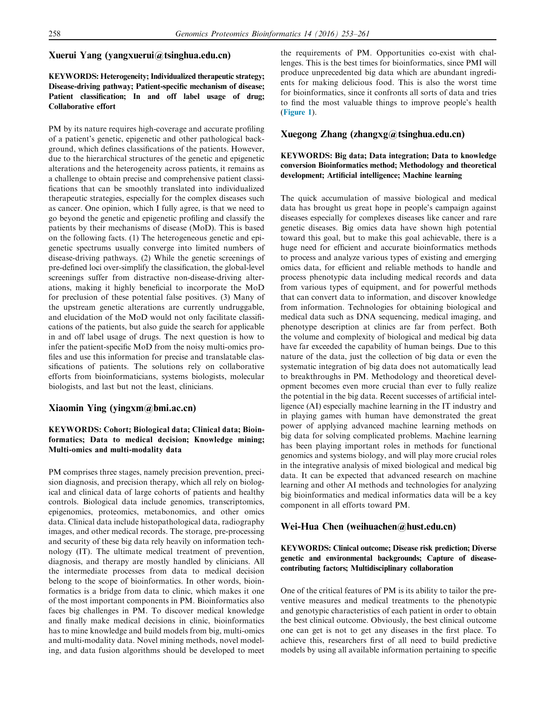## Xuerui Yang (yangxuerui@tsinghua.edu.cn)

## KEYWORDS: Heterogeneity; Individualized therapeutic strategy; Disease-driving pathway; Patient-specific mechanism of disease; Patient classification; In and off label usage of drug; Collaborative effort

PM by its nature requires high-coverage and accurate profiling of a patient's genetic, epigenetic and other pathological background, which defines classifications of the patients. However, due to the hierarchical structures of the genetic and epigenetic alterations and the heterogeneity across patients, it remains as a challenge to obtain precise and comprehensive patient classifications that can be smoothly translated into individualized therapeutic strategies, especially for the complex diseases such as cancer. One opinion, which I fully agree, is that we need to go beyond the genetic and epigenetic profiling and classify the patients by their mechanisms of disease (MoD). This is based on the following facts. (1) The heterogeneous genetic and epigenetic spectrums usually converge into limited numbers of disease-driving pathways. (2) While the genetic screenings of pre-defined loci over-simplify the classification, the global-level screenings suffer from distractive non-disease-driving alterations, making it highly beneficial to incorporate the MoD for preclusion of these potential false positives. (3) Many of the upstream genetic alterations are currently undruggable, and elucidation of the MoD would not only facilitate classifications of the patients, but also guide the search for applicable in and off label usage of drugs. The next question is how to infer the patient-specific MoD from the noisy multi-omics profiles and use this information for precise and translatable classifications of patients. The solutions rely on collaborative efforts from bioinformaticians, systems biologists, molecular biologists, and last but not the least, clinicians.

#### Xiaomin Ying (yingxm@bmi.ac.cn)

#### KEYWORDS: Cohort; Biological data; Clinical data; Bioinformatics; Data to medical decision; Knowledge mining; Multi-omics and multi-modality data

PM comprises three stages, namely precision prevention, precision diagnosis, and precision therapy, which all rely on biological and clinical data of large cohorts of patients and healthy controls. Biological data include genomics, transcriptomics, epigenomics, proteomics, metabonomics, and other omics data. Clinical data include histopathological data, radiography images, and other medical records. The storage, pre-processing and security of these big data rely heavily on information technology (IT). The ultimate medical treatment of prevention, diagnosis, and therapy are mostly handled by clinicians. All the intermediate processes from data to medical decision belong to the scope of bioinformatics. In other words, bioinformatics is a bridge from data to clinic, which makes it one of the most important components in PM. Bioinformatics also faces big challenges in PM. To discover medical knowledge and finally make medical decisions in clinic, bioinformatics has to mine knowledge and build models from big, multi-omics and multi-modality data. Novel mining methods, novel modeling, and data fusion algorithms should be developed to meet the requirements of PM. Opportunities co-exist with challenges. This is the best times for bioinformatics, since PMI will produce unprecedented big data which are abundant ingredients for making delicious food. This is also the worst time for bioinformatics, since it confronts all sorts of data and tries to find the most valuable things to improve people's health ([Figure 1](#page-6-0)).

#### Xuegong Zhang (zhangxg@tsinghua.edu.cn)

#### KEYWORDS: Big data; Data integration; Data to knowledge conversion Bioinformatics method; Methodology and theoretical development; Artificial intelligence; Machine learning

The quick accumulation of massive biological and medical data has brought us great hope in people's campaign against diseases especially for complexes diseases like cancer and rare genetic diseases. Big omics data have shown high potential toward this goal, but to make this goal achievable, there is a huge need for efficient and accurate bioinformatics methods to process and analyze various types of existing and emerging omics data, for efficient and reliable methods to handle and process phenotypic data including medical records and data from various types of equipment, and for powerful methods that can convert data to information, and discover knowledge from information. Technologies for obtaining biological and medical data such as DNA sequencing, medical imaging, and phenotype description at clinics are far from perfect. Both the volume and complexity of biological and medical big data have far exceeded the capability of human beings. Due to this nature of the data, just the collection of big data or even the systematic integration of big data does not automatically lead to breakthroughs in PM. Methodology and theoretical development becomes even more crucial than ever to fully realize the potential in the big data. Recent successes of artificial intelligence (AI) especially machine learning in the IT industry and in playing games with human have demonstrated the great power of applying advanced machine learning methods on big data for solving complicated problems. Machine learning has been playing important roles in methods for functional genomics and systems biology, and will play more crucial roles in the integrative analysis of mixed biological and medical big data. It can be expected that advanced research on machine learning and other AI methods and technologies for analyzing big bioinformatics and medical informatics data will be a key component in all efforts toward PM.

#### Wei-Hua Chen (weihuachen@hust.edu.cn)

#### KEYWORDS: Clinical outcome; Disease risk prediction; Diverse genetic and environmental backgrounds; Capture of diseasecontributing factors; Multidisciplinary collaboration

One of the critical features of PM is its ability to tailor the preventive measures and medical treatments to the phenotypic and genotypic characteristics of each patient in order to obtain the best clinical outcome. Obviously, the best clinical outcome one can get is not to get any diseases in the first place. To achieve this, researchers first of all need to build predictive models by using all available information pertaining to specific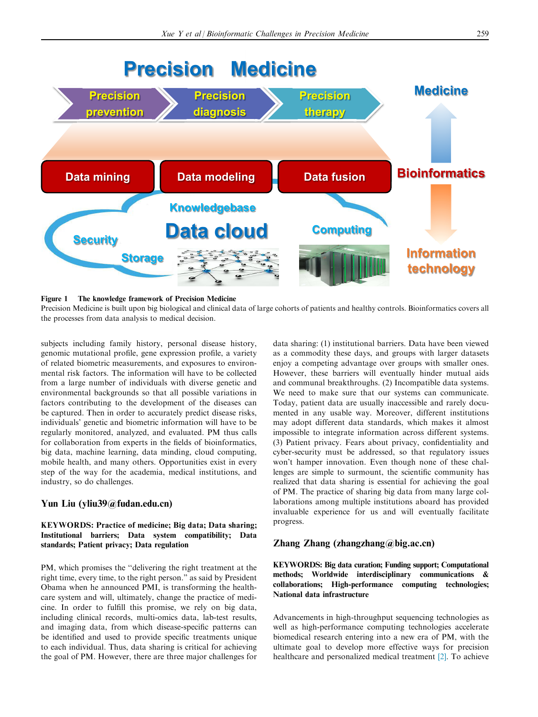<span id="page-6-0"></span>

Figure 1 The knowledge framework of Precision Medicine

Precision Medicine is built upon big biological and clinical data of large cohorts of patients and healthy controls. Bioinformatics covers all the processes from data analysis to medical decision.

subjects including family history, personal disease history, genomic mutational profile, gene expression profile, a variety of related biometric measurements, and exposures to environmental risk factors. The information will have to be collected from a large number of individuals with diverse genetic and environmental backgrounds so that all possible variations in factors contributing to the development of the diseases can be captured. Then in order to accurately predict disease risks, individuals' genetic and biometric information will have to be regularly monitored, analyzed, and evaluated. PM thus calls for collaboration from experts in the fields of bioinformatics, big data, machine learning, data minding, cloud computing, mobile health, and many others. Opportunities exist in every step of the way for the academia, medical institutions, and industry, so do challenges.

#### Yun Liu (yliu39@fudan.edu.cn)

#### KEYWORDS: Practice of medicine; Big data; Data sharing; Institutional barriers; Data system compatibility; Data standards; Patient privacy; Data regulation

PM, which promises the ''delivering the right treatment at the right time, every time, to the right person." as said by President Obama when he announced PMI, is transforming the healthcare system and will, ultimately, change the practice of medicine. In order to fulfill this promise, we rely on big data, including clinical records, multi-omics data, lab-test results, and imaging data, from which disease-specific patterns can be identified and used to provide specific treatments unique to each individual. Thus, data sharing is critical for achieving the goal of PM. However, there are three major challenges for data sharing: (1) institutional barriers. Data have been viewed as a commodity these days, and groups with larger datasets enjoy a competing advantage over groups with smaller ones. However, these barriers will eventually hinder mutual aids and communal breakthroughs. (2) Incompatible data systems. We need to make sure that our systems can communicate. Today, patient data are usually inaccessible and rarely documented in any usable way. Moreover, different institutions may adopt different data standards, which makes it almost impossible to integrate information across different systems. (3) Patient privacy. Fears about privacy, confidentiality and cyber-security must be addressed, so that regulatory issues won't hamper innovation. Even though none of these challenges are simple to surmount, the scientific community has realized that data sharing is essential for achieving the goal of PM. The practice of sharing big data from many large collaborations among multiple institutions aboard has provided invaluable experience for us and will eventually facilitate progress.

## Zhang Zhang (zhangzhang@big.ac.cn)

KEYWORDS: Big data curation; Funding support; Computational methods; Worldwide interdisciplinary communications & collaborations; High-performance computing technologies; National data infrastructure

Advancements in high-throughput sequencing technologies as well as high-performance computing technologies accelerate biomedical research entering into a new era of PM, with the ultimate goal to develop more effective ways for precision healthcare and personalized medical treatment [\[2\]](#page-8-0). To achieve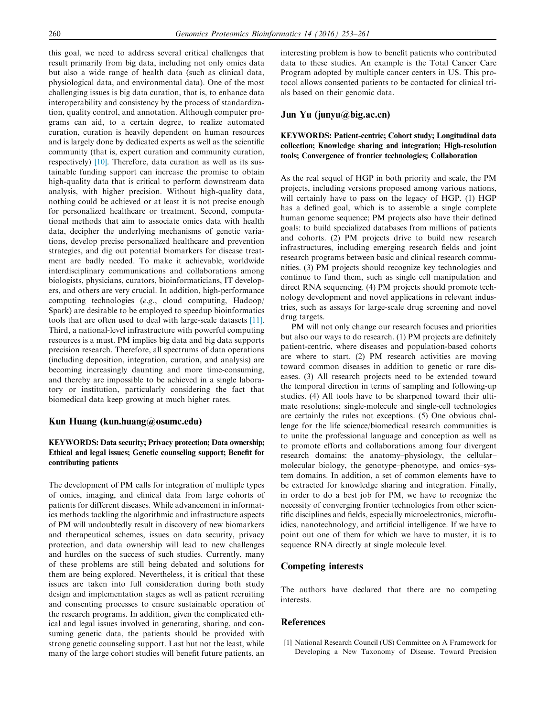<span id="page-7-0"></span>this goal, we need to address several critical challenges that result primarily from big data, including not only omics data but also a wide range of health data (such as clinical data, physiological data, and environmental data). One of the most challenging issues is big data curation, that is, to enhance data interoperability and consistency by the process of standardization, quality control, and annotation. Although computer programs can aid, to a certain degree, to realize automated curation, curation is heavily dependent on human resources and is largely done by dedicated experts as well as the scientific community (that is, expert curation and community curation, respectively) [\[10\]](#page-8-0). Therefore, data curation as well as its sustainable funding support can increase the promise to obtain high-quality data that is critical to perform downstream data analysis, with higher precision. Without high-quality data, nothing could be achieved or at least it is not precise enough for personalized healthcare or treatment. Second, computational methods that aim to associate omics data with health data, decipher the underlying mechanisms of genetic variations, develop precise personalized healthcare and prevention strategies, and dig out potential biomarkers for disease treatment are badly needed. To make it achievable, worldwide interdisciplinary communications and collaborations among biologists, physicians, curators, bioinformaticians, IT developers, and others are very crucial. In addition, high-performance computing technologies (e.g., cloud computing, Hadoop/ Spark) are desirable to be employed to speedup bioinformatics tools that are often used to deal with large-scale datasets [\[11\]](#page-8-0). Third, a national-level infrastructure with powerful computing resources is a must. PM implies big data and big data supports precision research. Therefore, all spectrums of data operations (including deposition, integration, curation, and analysis) are becoming increasingly daunting and more time-consuming, and thereby are impossible to be achieved in a single laboratory or institution, particularly considering the fact that biomedical data keep growing at much higher rates.

#### Kun Huang (kun.huang@osumc.edu)

#### KEYWORDS: Data security; Privacy protection; Data ownership; Ethical and legal issues; Genetic counseling support; Benefit for contributing patients

The development of PM calls for integration of multiple types of omics, imaging, and clinical data from large cohorts of patients for different diseases. While advancement in informatics methods tackling the algorithmic and infrastructure aspects of PM will undoubtedly result in discovery of new biomarkers and therapeutical schemes, issues on data security, privacy protection, and data ownership will lead to new challenges and hurdles on the success of such studies. Currently, many of these problems are still being debated and solutions for them are being explored. Nevertheless, it is critical that these issues are taken into full consideration during both study design and implementation stages as well as patient recruiting and consenting processes to ensure sustainable operation of the research programs. In addition, given the complicated ethical and legal issues involved in generating, sharing, and consuming genetic data, the patients should be provided with strong genetic counseling support. Last but not the least, while many of the large cohort studies will benefit future patients, an interesting problem is how to benefit patients who contributed data to these studies. An example is the Total Cancer Care Program adopted by multiple cancer centers in US. This protocol allows consented patients to be contacted for clinical trials based on their genomic data.

#### Jun Yu (junyu@big.ac.cn)

## KEYWORDS: Patient-centric; Cohort study; Longitudinal data collection; Knowledge sharing and integration; High-resolution tools; Convergence of frontier technologies; Collaboration

As the real sequel of HGP in both priority and scale, the PM projects, including versions proposed among various nations, will certainly have to pass on the legacy of HGP. (1) HGP has a defined goal, which is to assemble a single complete human genome sequence; PM projects also have their defined goals: to build specialized databases from millions of patients and cohorts. (2) PM projects drive to build new research infrastructures, including emerging research fields and joint research programs between basic and clinical research communities. (3) PM projects should recognize key technologies and continue to fund them, such as single cell manipulation and direct RNA sequencing. (4) PM projects should promote technology development and novel applications in relevant industries, such as assays for large-scale drug screening and novel drug targets.

PM will not only change our research focuses and priorities but also our ways to do research. (1) PM projects are definitely patient-centric, where diseases and population-based cohorts are where to start. (2) PM research activities are moving toward common diseases in addition to genetic or rare diseases. (3) All research projects need to be extended toward the temporal direction in terms of sampling and following-up studies. (4) All tools have to be sharpened toward their ultimate resolutions; single-molecule and single-cell technologies are certainly the rules not exceptions. (5) One obvious challenge for the life science/biomedical research communities is to unite the professional language and conception as well as to promote efforts and collaborations among four divergent research domains: the anatomy–physiology, the cellular– molecular biology, the genotype–phenotype, and omics–system domains. In addition, a set of common elements have to be extracted for knowledge sharing and integration. Finally, in order to do a best job for PM, we have to recognize the necessity of converging frontier technologies from other scientific disciplines and fields, especially microelectronics, microfluidics, nanotechnology, and artificial intelligence. If we have to point out one of them for which we have to muster, it is to sequence RNA directly at single molecule level.

#### Competing interests

The authors have declared that there are no competing interests.

## **References**

[1] National Research Council (US) Committee on A Framework for Developing a New Taxonomy of Disease. Toward Precision